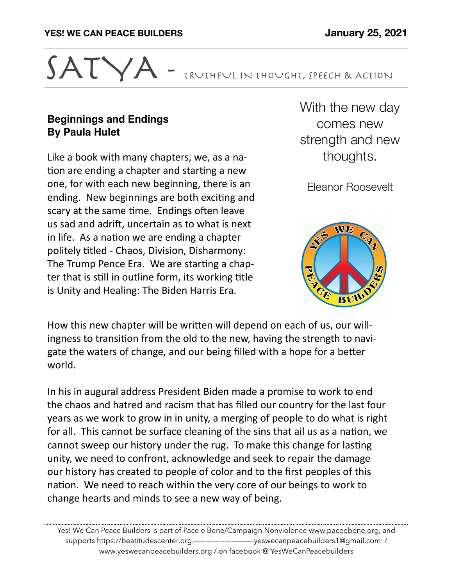

## **Beginnings and Endings By Paula Hulet**

Like a book with many chapters, we, as a nation are ending a chapter and starting a new one, for with each new beginning, there is an ending. New beginnings are both exciting and scary at the same time. Endings often leave us sad and adrift, uncertain as to what is next in life. As a nation we are ending a chapter politely titled - Chaos, Division, Disharmony: The Trump Pence Era. We are starting a chapter that is still in outline form, its working title is Unity and Healing: The Biden Harris Era.

With the new day comes new strength and new thoughts.

Eleanor Roosevelt



How this new chapter will be written will depend on each of us, our willingness to transition from the old to the new, having the strength to navigate the waters of change, and our being filled with a hope for a better world. 

In his in augural address President Biden made a promise to work to end the chaos and hatred and racism that has filled our country for the last four years as we work to grow in in unity, a merging of people to do what is right for all. This cannot be surface cleaning of the sins that ail us as a nation, we cannot sweep our history under the rug. To make this change for lasting unity, we need to confront, acknowledge and seek to repair the damage our history has created to people of color and to the first peoples of this nation. We need to reach within the very core of our beings to work to change hearts and minds to see a new way of being.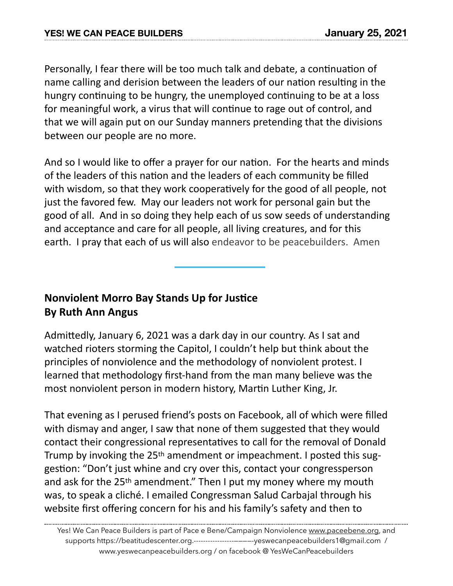Personally, I fear there will be too much talk and debate, a continuation of name calling and derision between the leaders of our nation resulting in the hungry continuing to be hungry, the unemployed continuing to be at a loss for meaningful work, a virus that will continue to rage out of control, and that we will again put on our Sunday manners pretending that the divisions between our people are no more.

And so I would like to offer a prayer for our nation. For the hearts and minds of the leaders of this nation and the leaders of each community be filled with wisdom, so that they work cooperatively for the good of all people, not just the favored few. May our leaders not work for personal gain but the good of all. And in so doing they help each of us sow seeds of understanding and acceptance and care for all people, all living creatures, and for this earth. I pray that each of us will also endeavor to be peacebuilders. Amen

## **Nonviolent Morro Bay Stands Up for Justice By Ruth Ann Angus**

Admittedly, January 6, 2021 was a dark day in our country. As I sat and watched rioters storming the Capitol, I couldn't help but think about the principles of nonviolence and the methodology of nonviolent protest. I learned that methodology first-hand from the man many believe was the most nonviolent person in modern history, Martin Luther King, Jr.

That evening as I perused friend's posts on Facebook, all of which were filled with dismay and anger, I saw that none of them suggested that they would contact their congressional representatives to call for the removal of Donald Trump by invoking the 25<sup>th</sup> amendment or impeachment. I posted this suggestion: "Don't just whine and cry over this, contact your congressperson and ask for the  $25<sup>th</sup>$  amendment." Then I put my money where my mouth was, to speak a cliché. I emailed Congressman Salud Carbajal through his website first offering concern for his and his family's safety and then to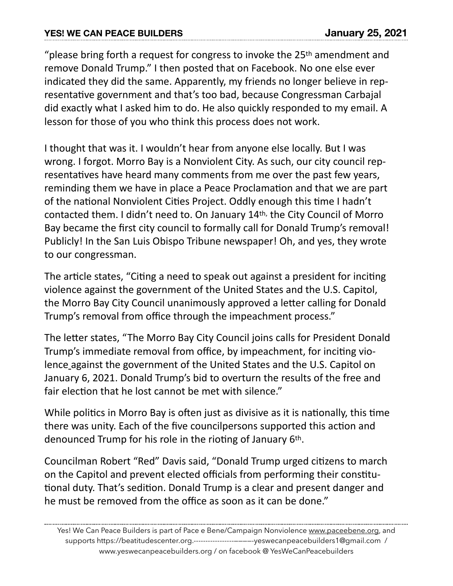## **YES! WE CAN PEACE BUILDERS January 25, 2021**

"please bring forth a request for congress to invoke the  $25<sup>th</sup>$  amendment and remove Donald Trump." I then posted that on Facebook. No one else ever indicated they did the same. Apparently, my friends no longer believe in representative government and that's too bad, because Congressman Carbajal did exactly what I asked him to do. He also quickly responded to my email. A lesson for those of you who think this process does not work.

I thought that was it. I wouldn't hear from anyone else locally. But I was wrong. I forgot. Morro Bay is a Nonviolent City. As such, our city council representatives have heard many comments from me over the past few years, reminding them we have in place a Peace Proclamation and that we are part of the national Nonviolent Cities Project. Oddly enough this time I hadn't contacted them. I didn't need to. On January 14th, the City Council of Morro Bay became the first city council to formally call for Donald Trump's removal! Publicly! In the San Luis Obispo Tribune newspaper! Oh, and yes, they wrote to our congressman.

The article states, "Citing a need to speak out against a president for inciting violence against the government of the United States and the U.S. Capitol, the Morro Bay City Council unanimously approved a letter calling for Donald Trump's removal from office through the impeachment process."

The letter states, "The Morro Bay City Council joins calls for President Donald Trump's immediate removal from office, by impeachment, for inciting vio[lence](https://www.bbc.com/news/world-us-canada-55640437%22%20%5Ct%20%22_blank) against the government of the United States and the U.S. Capitol on January 6, 2021. Donald Trump's bid to overturn the results of the free and fair election that he lost cannot be met with silence."

While politics in Morro Bay is often just as divisive as it is nationally, this time there was unity. Each of the five councilpersons supported this action and denounced Trump for his role in the rioting of January 6<sup>th</sup>.

Councilman Robert "Red" Davis said, "Donald Trump urged citizens to march on the Capitol and prevent elected officials from performing their constitutional duty. That's sedition. Donald Trump is a clear and present danger and he must be removed from the office as soon as it can be done."